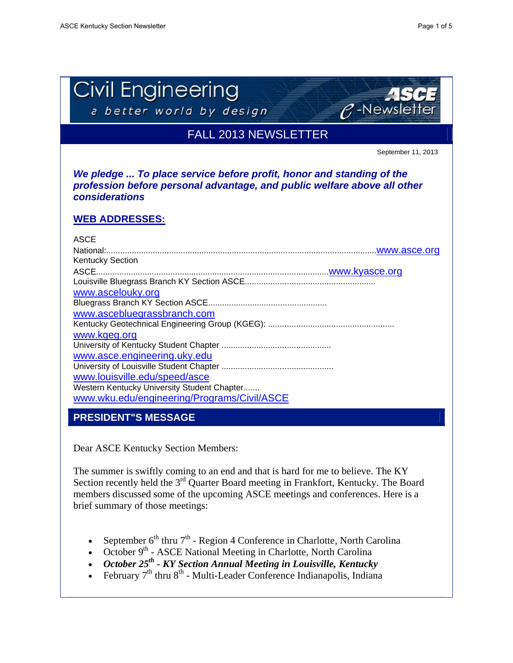

Dear ASCE Kentucky Section Members:

The summer is swiftly coming to an end and that is hard for me to believe. The KY Section recently held the 3<sup>rd</sup> Quarter Board meeting in Frankfort, Kentucky. The Board members discussed some of the upcoming ASCE meetings and conferences. Here is a brief summary of those meetings:

- September  $6^{th}$  thru  $7^{th}$  Region 4 Conference in Charlotte, North Carolina
- October  $9<sup>th</sup>$  ASCE National Meeting in Charlotte, North Carolina
- October  $25<sup>th</sup>$  KY Section Annual Meeting in Louisville, Kentucky
- February 7<sup>th</sup> thru 8<sup>th</sup> Multi-Leader Conference Indianapolis, Indiana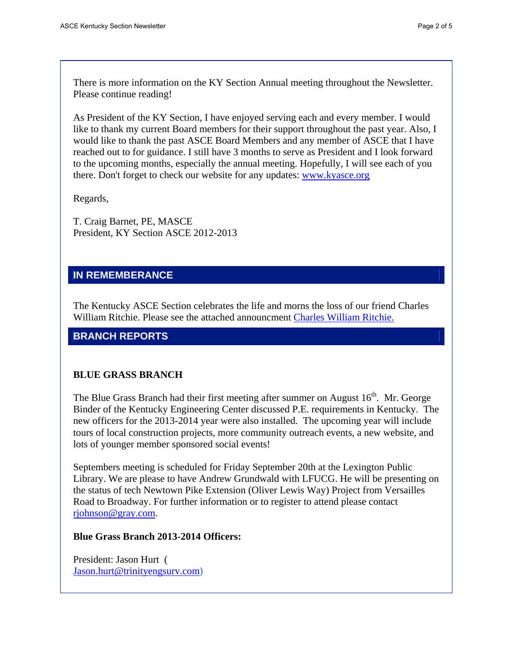There is more information on the KY Section Annual meeting throughout the Newsletter. Please continue reading!

As President of the KY Section, I have enjoyed serving each and every member. I would like to thank my current Board members for their support throughout the past year. Also, I would like to thank the past ASCE Board Members and any member of ASCE that I have reached out to for guidance. I still have 3 months to serve as President and I look forward to the upcoming months, especially the annual meeting. Hopefully, I will see each of you there. Don't forget to check our website for any updates: www.kyasce.org

Regards,

T. Craig Barnet, PE, MASCE President, KY Section ASCE 2012-2013

## **IN REMEMBERANCE**

The Kentucky ASCE Section celebrates the life and morns the loss of our friend Charles William Ritchie. Please see the attached announcment Charles William Ritchie.

# **BRANCH REPORTS**

## **BLUE GRASS BRANCH**

The Blue Grass Branch had their first meeting after summer on August  $16<sup>th</sup>$ . Mr. George Binder of the Kentucky Engineering Center discussed P.E. requirements in Kentucky. The new officers for the 2013-2014 year were also installed. The upcoming year will include tours of local construction projects, more community outreach events, a new website, and lots of younger member sponsored social events!

Septembers meeting is scheduled for Friday September 20th at the Lexington Public Library. We are please to have Andrew Grundwald with LFUCG. He will be presenting on the status of tech Newtown Pike Extension (Oliver Lewis Way) Project from Versailles Road to Broadway. For further information or to register to attend please contact rjohnson@gray.com.

## **Blue Grass Branch 2013-2014 Officers:**

President: Jason Hurt ( Jason.hurt@trinityengsurv.com)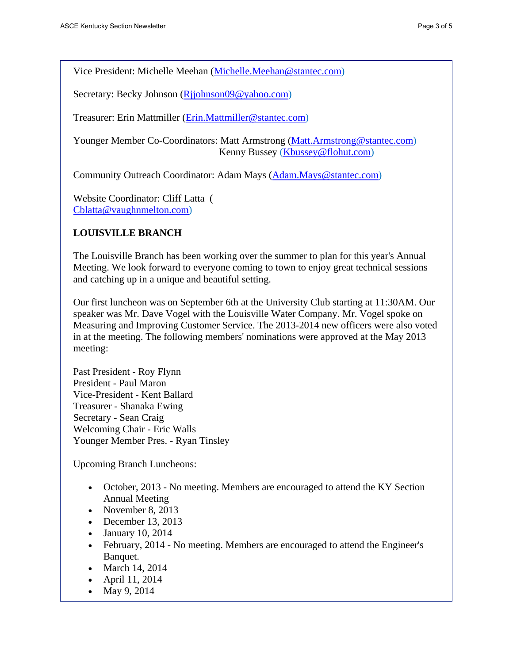Vice President: Michelle Meehan (Michelle.Meehan@stantec.com)

Secretary: Becky Johnson (Rijohnson09@yahoo.com)

Treasurer: Erin Mattmiller (Erin.Mattmiller@stantec.com)

Younger Member Co-Coordinators: Matt Armstrong (Matt.Armstrong@stantec.com) Kenny Bussey (Kbussey@flohut.com)

Community Outreach Coordinator: Adam Mays (Adam.Mays@stantec.com)

Website Coordinator: Cliff Latta ( Cblatta@vaughnmelton.com)

# **LOUISVILLE BRANCH**

The Louisville Branch has been working over the summer to plan for this year's Annual Meeting. We look forward to everyone coming to town to enjoy great technical sessions and catching up in a unique and beautiful setting.

Our first luncheon was on September 6th at the University Club starting at 11:30AM. Our speaker was Mr. Dave Vogel with the Louisville Water Company. Mr. Vogel spoke on Measuring and Improving Customer Service. The 2013-2014 new officers were also voted in at the meeting. The following members' nominations were approved at the May 2013 meeting:

Past President - Roy Flynn President - Paul Maron Vice-President - Kent Ballard Treasurer - Shanaka Ewing Secretary - Sean Craig Welcoming Chair - Eric Walls Younger Member Pres. - Ryan Tinsley

Upcoming Branch Luncheons:

- October, 2013 No meeting. Members are encouraged to attend the KY Section Annual Meeting
- November 8, 2013
- $\bullet$  December 13, 2013
- January 10, 2014
- February, 2014 No meeting. Members are encouraged to attend the Engineer's Banquet.
- March 14, 2014
- April 11, 2014
- May 9, 2014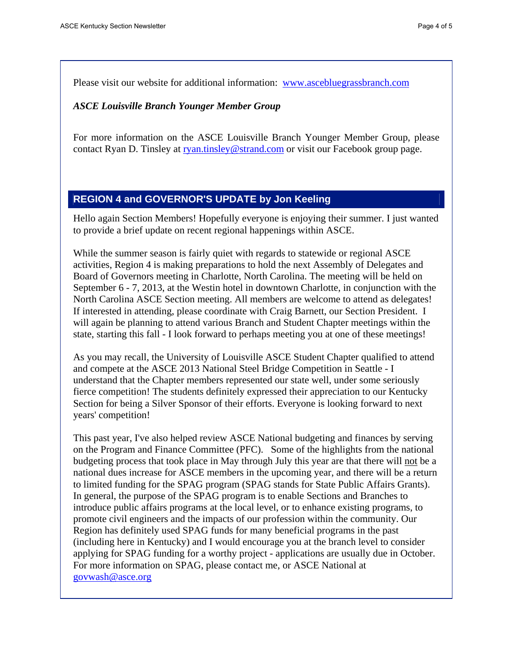Please visit our website for additional information: www.ascebluegrassbranch.com

#### *ASCE Louisville Branch Younger Member Group*

For more information on the ASCE Louisville Branch Younger Member Group, please contact Ryan D. Tinsley at ryan.tinsley@strand.com or visit our Facebook group page.

#### **REGION 4 and GOVERNOR'S UPDATE by Jon Keeling**

Hello again Section Members! Hopefully everyone is enjoying their summer. I just wanted to provide a brief update on recent regional happenings within ASCE.

While the summer season is fairly quiet with regards to statewide or regional ASCE activities, Region 4 is making preparations to hold the next Assembly of Delegates and Board of Governors meeting in Charlotte, North Carolina. The meeting will be held on September 6 - 7, 2013, at the Westin hotel in downtown Charlotte, in conjunction with the North Carolina ASCE Section meeting. All members are welcome to attend as delegates! If interested in attending, please coordinate with Craig Barnett, our Section President. I will again be planning to attend various Branch and Student Chapter meetings within the state, starting this fall - I look forward to perhaps meeting you at one of these meetings!

As you may recall, the University of Louisville ASCE Student Chapter qualified to attend and compete at the ASCE 2013 National Steel Bridge Competition in Seattle - I understand that the Chapter members represented our state well, under some seriously fierce competition! The students definitely expressed their appreciation to our Kentucky Section for being a Silver Sponsor of their efforts. Everyone is looking forward to next years' competition!

This past year, I've also helped review ASCE National budgeting and finances by serving on the Program and Finance Committee (PFC). Some of the highlights from the national budgeting process that took place in May through July this year are that there will not be a national dues increase for ASCE members in the upcoming year, and there will be a return to limited funding for the SPAG program (SPAG stands for State Public Affairs Grants). In general, the purpose of the SPAG program is to enable Sections and Branches to introduce public affairs programs at the local level, or to enhance existing programs, to promote civil engineers and the impacts of our profession within the community. Our Region has definitely used SPAG funds for many beneficial programs in the past (including here in Kentucky) and I would encourage you at the branch level to consider applying for SPAG funding for a worthy project - applications are usually due in October. For more information on SPAG, please contact me, or ASCE National at govwash@asce.org